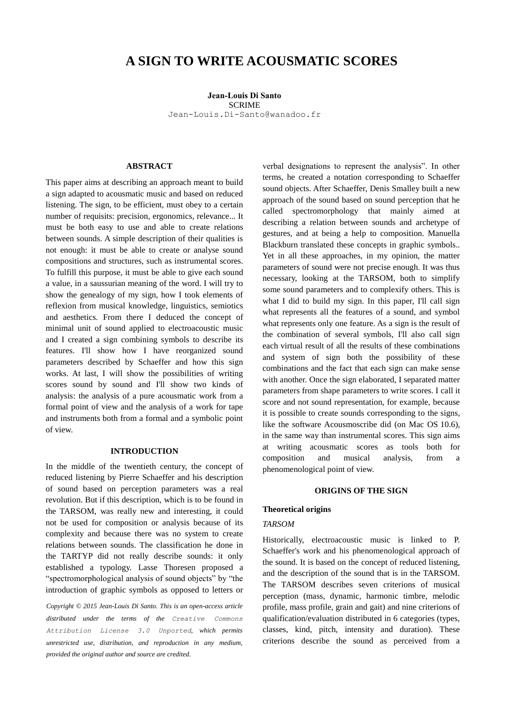# **A SIGN TO WRITE ACOUSMATIC SCORES**

**Jean-Louis Di Santo** SCRIME [Je](mailto:author1@adomain.org?subject=TENOR%202015%20paper)an-Louis.Di-Santo@wanadoo.fr

#### **ABSTRACT**

This paper aims at describing an approach meant to build a sign adapted to acousmatic music and based on reduced listening. The sign, to be efficient, must obey to a certain number of requisits: precision, ergonomics, relevance... It must be both easy to use and able to create relations between sounds. A simple description of their qualities is not enough: it must be able to create or analyse sound compositions and structures, such as instrumental scores. To fulfill this purpose, it must be able to give each sound a value, in a saussurian meaning of the word. I will try to show the genealogy of my sign, how I took elements of reflexion from musical knowledge, linguistics, semiotics and aesthetics. From there I deduced the concept of minimal unit of sound applied to electroacoustic music and I created a sign combining symbols to describe its features. I'll show how I have reorganized sound parameters described by Schaeffer and how this sign works. At last, I will show the possibilities of writing scores sound by sound and I'll show two kinds of analysis: the analysis of a pure acousmatic work from a formal point of view and the analysis of a work for tape and instruments both from a formal and a symbolic point of view.

# **INTRODUCTION**

In the middle of the twentieth century, the concept of reduced listening by Pierre Schaeffer and his description of sound based on perception parameters was a real revolution. But if this description, which is to be found in the TARSOM, was really new and interesting, it could not be used for composition or analysis because of its complexity and because there was no system to create relations between sounds. The classification he done in the TARTYP did not really describe sounds: it only established a typology. Lasse Thoresen proposed a "spectromorphological analysis of sound objects" by "the introduction of graphic symbols as opposed to letters or

*Copyright © 2015 Jean-Louis Di Santo. This is an open-access article distributed under the terms of the Creative Commons Attribution License 3.0 Unported, which permits unrestricted use, distribution, and reproduction in any medium, provided the original author and source are credited.*

verbal designations to represent the analysis". In other terms, he created a notation corresponding to Schaeffer sound objects. After Schaeffer, Denis Smalley built a new approach of the sound based on sound perception that he called spectromorphology that mainly aimed at describing a relation between sounds and archetype of gestures, and at being a help to composition. Manuella Blackburn translated these concepts in graphic symbols.. Yet in all these approaches, in my opinion, the matter parameters of sound were not precise enough. It was thus necessary, looking at the TARSOM, both to simplify some sound parameters and to complexify others. This is what I did to build my sign. In this paper, I'll call sign what represents all the features of a sound, and symbol what represents only one feature. As a sign is the result of the combination of several symbols, I'll also call sign each virtual result of all the results of these combinations and system of sign both the possibility of these combinations and the fact that each sign can make sense with another. Once the sign elaborated, I separated matter parameters from shape parameters to write scores. I call it score and not sound representation, for example, because it is possible to create sounds corresponding to the signs, like the software Acousmoscribe did (on Mac OS 10.6), in the same way than instrumental scores. This sign aims at writing acousmatic scores as tools both for composition and musical analysis, from a phenomenological point of view.

## **ORIGINS OF THE SIGN**

#### **Theoretical origins**

## *TARSOM*

Historically, electroacoustic music is linked to P. Schaeffer's work and his phenomenological approach of the sound. It is based on the concept of reduced listening, and the description of the sound that is in the TARSOM. The TARSOM describes seven criterions of musical perception (mass, dynamic, harmonic timbre, melodic profile, mass profile, grain and gait) and nine criterions of qualification/evaluation distributed in 6 categories (types, classes, kind, pitch, intensity and duration). These criterions describe the sound as perceived from a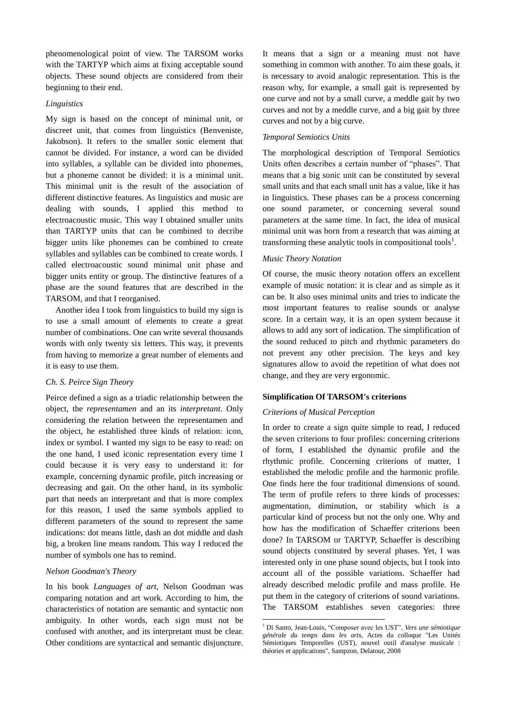phenomenological point of view. The TARSOM works with the TARTYP which aims at fixing acceptable sound objects. These sound objects are considered from their beginning to their end.

## *Linguistics*

My sign is based on the concept of minimal unit, or discreet unit, that comes from linguistics (Benveniste, Jakobson). It refers to the smaller sonic element that cannot be divided. For instance, a word can be divided into syllables, a syllable can be divided into phonemes, but a phoneme cannot be divided: it is a minimal unit. This minimal unit is the result of the association of different distinctive features. As linguistics and music are dealing with sounds, I applied this method to electroacoustic music. This way I obtained smaller units than TARTYP units that can be combined to decribe bigger units like phonemes can be combined to create syllables and syllables can be combined to create words. I called electroacoustic sound minimal unit phase and bigger units entity or group. The distinctive features of a phase are the sound features that are described in the TARSOM, and that I reorganised.

Another idea I took from linguistics to build my sign is to use a small amount of elements to create a great number of combinations. One can write several thousands words with only twenty six letters. This way, it prevents from having to memorize a great number of elements and it is easy to use them.

## *Ch. S. Peirce Sign Theory*

Peirce defined a sign as a triadic relationship between the object, the *representamen* and an its *interpretant*. Only considering the relation between the representamen and the object, he established three kinds of relation: icon, index or symbol. I wanted my sign to be easy to read: on the one hand, I used iconic representation every time I could because it is very easy to understand it: for example, concerning dynamic profile, pitch increasing or decreasing and gait. On the other hand, in its symbolic part that needs an interpretant and that is more complex for this reason, I used the same symbols applied to different parameters of the sound to represent the same indications: dot means little, dash an dot middle and dash big, a broken line means random. This way I reduced the number of symbols one has to remind.

## *Nelson Goodman's Theory*

In his book *Languages of art*, Nelson Goodman was comparing notation and art work. According to him, the characteristics of notation are semantic and syntactic non ambiguity. In other words, each sign must not be confused with another, and its interpretant must be clear. Other conditions are syntactical and semantic disjuncture. It means that a sign or a meaning must not have something in common with another. To aim these goals, it is necessary to avoid analogic representation. This is the reason why, for example, a small gait is represented by one curve and not by a small curve, a meddle gait by two curves and not by a meddle curve, and a big gait by three curves and not by a big curve.

#### *Temporal Semiotics Units*

The morphological description of Temporal Semiotics Units often describes a certain number of "phases". That means that a big sonic unit can be constituted by several small units and that each small unit has a value, like it has in linguistics. These phases can be a process concerning one sound parameter, or concerning several sound parameters at the same time. In fact, the idea of musical minimal unit was born from a research that was aiming at transforming these analytic tools in compositional tools<sup>1</sup>.

## *Music Theory Notation*

Of course, the music theory notation offers an excellent example of music notation: it is clear and as simple as it can be. It also uses minimal units and tries to indicate the most important features to realise sounds or analyse score. In a certain way, it is an open system because it allows to add any sort of indication. The simplification of the sound reduced to pitch and rhythmic parameters do not prevent any other precision. The keys and key signatures allow to avoid the repetition of what does not change, and they are very ergonomic.

#### **Simplification Of TARSOM's criterions**

#### *Criterions of Musical Perception*

1

In order to create a sign quite simple to read, I reduced the seven criterions to four profiles: concerning criterions of form, I established the dynamic profile and the rhythmic profile. Concerning criterions of matter, I established the melodic profile and the harmonic profile. One finds here the four traditional dimensions of sound. The term of profile refers to three kinds of processes: augmentation, diminution, or stability which is a particular kind of process but not the only one. Why and how has the modification of Schaeffer criterions been done? In TARSOM or TARTYP, Schaeffer is describing sound objects constituted by several phases. Yet, I was interested only in one phase sound objects, but I took into account all of the possible variations. Schaeffer had already described melodic profile and mass profile. He put them in the category of criterions of sound variations. The TARSOM establishes seven categories: three

<sup>1</sup> Di Santo, Jean-Louis, "Composer avec les UST", *Vers une sémiotique générale du temps dans les arts,* Actes du colloque "Les Unités Sémiotiques Temporelles (UST), nouvel outil d'analyse musicale : théories et applications", Sampzon, Delatour, 2008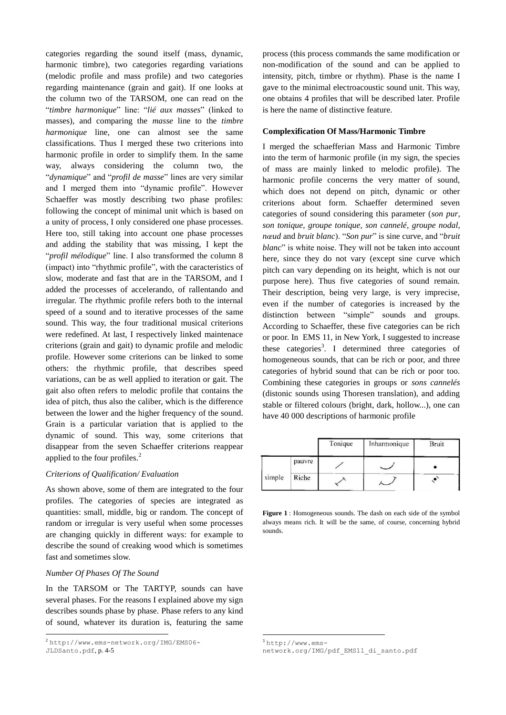categories regarding the sound itself (mass, dynamic, harmonic timbre), two categories regarding variations (melodic profile and mass profile) and two categories regarding maintenance (grain and gait). If one looks at the column two of the TARSOM, one can read on the "*timbre harmonique*" line: "*lié aux masses*" (linked to masses), and comparing the *masse* line to the *timbre harmonique* line, one can almost see the same classifications. Thus I merged these two criterions into harmonic profile in order to simplify them. In the same way, always considering the column two, the "*dynamique*" and "*profil de masse*" lines are very similar and I merged them into "dynamic profile". However Schaeffer was mostly describing two phase profiles: following the concept of minimal unit which is based on a unity of process, I only considered one phase processes. Here too, still taking into account one phase processes and adding the stability that was missing, I kept the "*profil mélodique*" line. I also transformed the column 8 (impact) into "rhythmic profile", with the caracteristics of slow, moderate and fast that are in the TARSOM, and I added the processes of accelerando, of rallentando and irregular. The rhythmic profile refers both to the internal speed of a sound and to iterative processes of the same sound. This way, the four traditional musical criterions were redefined. At last, I respectively linked maintenace criterions (grain and gait) to dynamic profile and melodic profile. However some criterions can be linked to some others: the rhythmic profile, that describes speed variations, can be as well applied to iteration or gait. The gait also often refers to melodic profile that contains the idea of pitch, thus also the caliber, which is the difference between the lower and the higher frequency of the sound. Grain is a particular variation that is applied to the dynamic of sound. This way, some criterions that disappear from the seven Schaeffer criterions reappear applied to the four profiles.<sup>2</sup>

## *Criterions of Qualification/ Evaluation*

As shown above, some of them are integrated to the four profiles. The categories of species are integrated as quantities: small, middle, big or random. The concept of random or irregular is very useful when some processes are changing quickly in different ways: for example to describe the sound of creaking wood which is sometimes fast and sometimes slow.

## *Number Of Phases Of The Sound*

In the TARSOM or The TARTYP, sounds can have several phases. For the reasons I explained above my sign describes sounds phase by phase. Phase refers to any kind of sound, whatever its duration is, featuring the same

[JLDSanto.pdf](http://www.ems-network.org/IMG/EMS06-JLDSanto.pdf), p. 4-5

l

process (this process commands the same modification or non-modification of the sound and can be applied to intensity, pitch, timbre or rhythm). Phase is the name I gave to the minimal electroacoustic sound unit. This way, one obtains 4 profiles that will be described later. Profile is here the name of distinctive feature.

## **Complexification Of Mass/Harmonic Timbre**

I merged the schaefferian Mass and Harmonic Timbre into the term of harmonic profile (in my sign, the species of mass are mainly linked to melodic profile). The harmonic profile concerns the very matter of sound, which does not depend on pitch, dynamic or other criterions about form. Schaeffer determined seven categories of sound considering this parameter (*son pur*, *son tonique*, *groupe tonique*, *son cannelé*, *groupe nodal*, *nœud* and *bruit blanc*). "*Son pur*" is sine curve, and "*bruit blanc*" is white noise. They will not be taken into account here, since they do not vary (except sine curve which pitch can vary depending on its height, which is not our purpose here). Thus five categories of sound remain. Their description, being very large, is very imprecise, even if the number of categories is increased by the distinction between "simple" sounds and groups. According to Schaeffer, these five categories can be rich or poor. In EMS 11, in New York, I suggested to increase these categories<sup>3</sup>. I determined three categories of homogeneous sounds, that can be rich or poor, and three categories of hybrid sound that can be rich or poor too. Combining these categories in groups or *sons cannelés* (distonic sounds using Thoresen translation), and adding stable or filtered colours (bright, dark, hollow...), one can have 40 000 descriptions of harmonic profile

|        |        | Tonique | Inharmonique | Bruit |
|--------|--------|---------|--------------|-------|
|        | pauvre |         |              |       |
| simple | Riche  |         |              |       |

**Figure 1** : Homogeneous sounds. The dash on each side of the symbol always means rich. It will be the same, of course, concerning hybrid sounds.

<sup>3</sup> [http://www.ems-](http://www.ems-network.org/IMG/pdf_EMS11_di_santo.pdf)

 $\overline{a}$ 

 $^{2}$ [http://www.ems-network.org/IMG/EMS06-](http://www.ems-network.org/IMG/EMS06-JLDSanto.pdf)

[network.org/IMG/pdf\\_EMS11\\_di\\_santo.pdf](http://www.ems-network.org/IMG/pdf_EMS11_di_santo.pdf)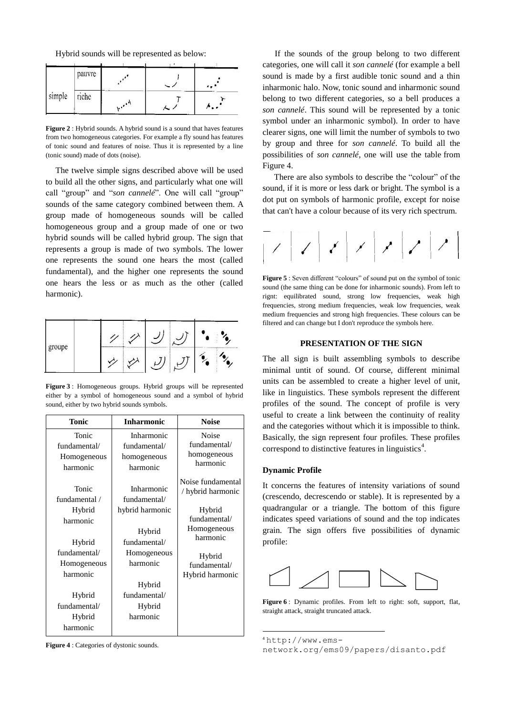Hybrid sounds will be represented as below:

|        | pauvre |                                            |  |
|--------|--------|--------------------------------------------|--|
| simple | riche  | $\mathbf{u}$ , $\mathbf{v}$ , $\mathbf{v}$ |  |

**Figure 2** : Hybrid sounds. A hybrid sound is a sound that haves features from two homogeneous categories. For example a fly sound has features of tonic sound and features of noise. Thus it is represented by a line (tonic sound) made of dots (noise).

The twelve simple signs described above will be used to build all the other signs, and particularly what one will call "group" and "*son cannelé*". One will call "group" sounds of the same category combined between them. A group made of homogeneous sounds will be called homogeneous group and a group made of one or two hybrid sounds will be called hybrid group. The sign that represents a group is made of two symbols. The lower one represents the sound one hears the most (called fundamental), and the higher one represents the sound one hears the less or as much as the other (called harmonic).



**Figure 3** : Homogeneous groups. Hybrid groups will be represented either by a symbol of homogeneous sound and a symbol of hybrid sound, either by two hybrid sounds symbols.

| <b>Tonic</b>                                     | <b>Inharmonic</b>                                     | <b>Noise</b>                                     |  |
|--------------------------------------------------|-------------------------------------------------------|--------------------------------------------------|--|
| Tonic<br>fundamental/<br>Homogeneous<br>harmonic | Inharmonic<br>fundamental/<br>homogeneous<br>harmonic | Noise<br>fundamental/<br>homogeneous<br>harmonic |  |
| Tonic<br>fundamental /                           | Inharmonic<br>fundamental/                            | Noise fundamental<br>hybrid harmonic             |  |
| Hybrid<br>harmonic                               | hybrid harmonic<br>Hybrid                             | Hybrid<br>fundamental/<br>Homogeneous            |  |
| Hybrid<br>fundamental/                           | fundamental/<br>Homogeneous                           | harmonic                                         |  |
| Homogeneous<br>harmonic                          | harmonic                                              | Hybrid<br>fundamental/<br>Hybrid harmonic        |  |
|                                                  | Hybrid                                                |                                                  |  |
| Hybrid                                           | fundamental/                                          |                                                  |  |
| fundamental/<br>Hybrid<br>harmonic               | Hybrid<br>harmonic                                    |                                                  |  |

**Figure 4** : Categories of dystonic sounds.

If the sounds of the group belong to two different categories, one will call it *son cannelé* (for example a bell sound is made by a first audible tonic sound and a thin inharmonic halo. Now, tonic sound and inharmonic sound belong to two different categories, so a bell produces a *son cannelé*. This sound will be represented by a tonic symbol under an inharmonic symbol). In order to have clearer signs, one will limit the number of symbols to two by group and three for *son cannelé*. To build all the possibilities of *son cannelé*, one will use the table from Figure 4.

There are also symbols to describe the "colour" of the sound, if it is more or less dark or bright. The symbol is a dot put on symbols of harmonic profile, except for noise that can't have a colour because of its very rich spectrum.



**Figure 5** : Seven different "colours" of sound put on the symbol of tonic sound (the same thing can be done for inharmonic sounds). From left to rignt: equilibrated sound, strong low frequencies, weak high frequencies, strong medium frequencies, weak low frequencies, weak medium frequencies and strong high frequencies. These colours can be filtered and can change but I don't reproduce the symbols here.

## **PRESENTATION OF THE SIGN**

The all sign is built assembling symbols to describe minimal untit of sound. Of course, different minimal units can be assembled to create a higher level of unit, like in linguistics. These symbols represent the different profiles of the sound. The concept of profile is very useful to create a link between the continuity of reality and the categories without which it is impossible to think. Basically, the sign represent four profiles. These profiles correspond to distinctive features in linguistics<sup>4</sup>.

#### **Dynamic Profile**

It concerns the features of intensity variations of sound (crescendo, decrescendo or stable). It is represented by a quadrangular or a triangle. The bottom of this figure indicates speed variations of sound and the top indicates grain. The sign offers five possibilities of dynamic profile:



**Figure 6** : Dynamic profiles. From left to right: soft, support, flat, straight attack, straight truncated attack.

 $<sup>4</sup>$ http://www.ems-</sup>

-

[network.org/ems09/papers/disanto.pdf](http://www.ems-network.org/ems09/papers/disanto.pdf)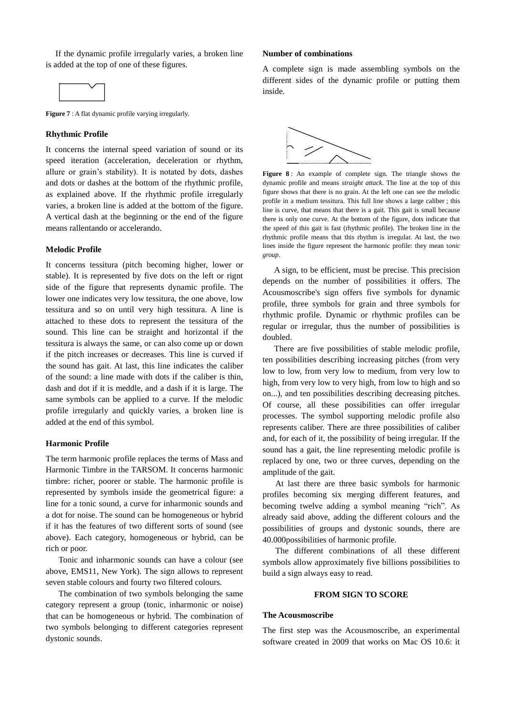If the dynamic profile irregularly varies, a broken line is added at the top of one of these figures.



**Figure** 7 : A flat dynamic profile varying irregularly.

## **Rhythmic Profile**

It concerns the internal speed variation of sound or its speed iteration (acceleration, deceleration or rhythm, allure or grain's stability). It is notated by dots, dashes and dots or dashes at the bottom of the rhythmic profile, as explained above. If the rhythmic profile irregularly varies, a broken line is added at the bottom of the figure. A vertical dash at the beginning or the end of the figure means rallentando or accelerando.

# **Melodic Profile**

It concerns tessitura (pitch becoming higher, lower or stable). It is represented by five dots on the left or rignt side of the figure that represents dynamic profile. The lower one indicates very low tessitura, the one above, low tessitura and so on until very high tessitura. A line is attached to these dots to represent the tessitura of the sound. This line can be straight and horizontal if the tessitura is always the same, or can also come up or down if the pitch increases or decreases. This line is curved if the sound has gait. At last, this line indicates the caliber of the sound: a line made with dots if the caliber is thin, dash and dot if it is meddle, and a dash if it is large. The same symbols can be applied to a curve. If the melodic profile irregularly and quickly varies, a broken line is added at the end of this symbol.

## **Harmonic Profile**

The term harmonic profile replaces the terms of Mass and Harmonic Timbre in the TARSOM. It concerns harmonic timbre: richer, poorer or stable. The harmonic profile is represented by symbols inside the geometrical figure: a line for a tonic sound, a curve for inharmonic sounds and a dot for noise. The sound can be homogeneous or hybrid if it has the features of two different sorts of sound (see above). Each category, homogeneous or hybrid, can be rich or poor.

Tonic and inharmonic sounds can have a colour (see above, EMS11, New York). The sign allows to represent seven stable colours and fourty two filtered colours.

The combination of two symbols belonging the same category represent a group (tonic, inharmonic or noise) that can be homogeneous or hybrid. The combination of two symbols belonging to different categories represent dystonic sounds.

#### **Number of combinations**

A complete sign is made assembling symbols on the different sides of the dynamic profile or putting them inside.



**Figure 8** : An example of complete sign. The triangle shows the dynamic profile and means *straight attack*. The line at the top of this figure shows that there is no grain. At the left one can see the melodic profile in a medium tessitura. This full line shows a large caliber ; this line is curve, that means that there is a gait. This gait is small because there is only one curve. At the bottom of the figure, dots indicate that the speed of this gait is fast (rhythmic profile). The broken line in the rhythmic profile means that this rhythm is irregular. At last, the two lines inside the figure represent the harmonic profile: they mean t*onic group*.

A sign, to be efficient, must be precise. This precision depends on the number of possibilities it offers. The Acousmoscribe's sign offers five symbols for dynamic profile, three symbols for grain and three symbols for rhythmic profile. Dynamic or rhythmic profiles can be regular or irregular, thus the number of possibilities is doubled.

There are five possibilities of stable melodic profile, ten possibilities describing increasing pitches (from very low to low, from very low to medium, from very low to high, from very low to very high, from low to high and so on...), and ten possibilities describing decreasing pitches. Of course, all these possibilities can offer irregular processes. The symbol supporting melodic profile also represents caliber. There are three possibilities of caliber and, for each of it, the possibility of being irregular. If the sound has a gait, the line representing melodic profile is replaced by one, two or three curves, depending on the amplitude of the gait.

At last there are three basic symbols for harmonic profiles becoming six merging different features, and becoming twelve adding a symbol meaning "rich". As already said above, adding the different colours and the possibilities of groups and dystonic sounds, there are 40.000possibilities of harmonic profile.

The different combinations of all these different symbols allow approximately five billions possibilities to build a sign always easy to read.

#### **FROM SIGN TO SCORE**

#### **The Acousmoscribe**

The first step was the Acousmoscribe, an experimental software created in 2009 that works on Mac OS 10.6: it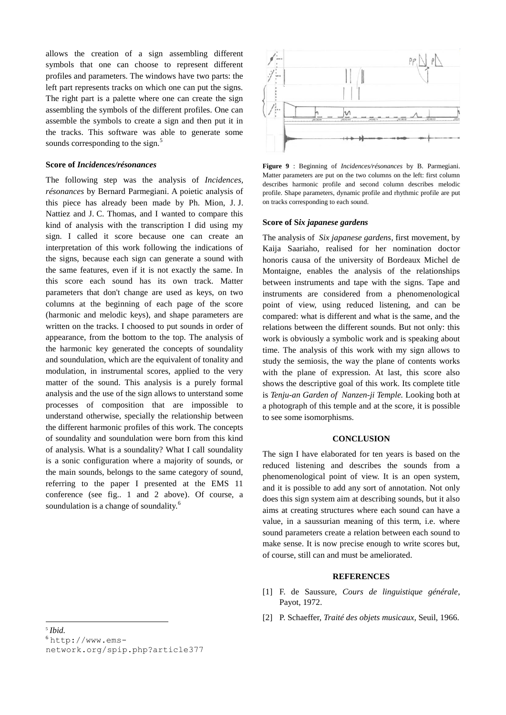allows the creation of a sign assembling different symbols that one can choose to represent different profiles and parameters. The windows have two parts: the left part represents tracks on which one can put the signs. The right part is a palette where one can create the sign assembling the symbols of the different profiles. One can assemble the symbols to create a sign and then put it in the tracks. This software was able to generate some sounds corresponding to the sign.<sup>5</sup>

# **Score of** *Incidences/résonances*

The following step was the analysis of *Incidences, résonances* by Bernard Parmegiani. A poietic analysis of this piece has already been made by Ph. Mion, J. J. Nattiez and J. C. Thomas, and I wanted to compare this kind of analysis with the transcription I did using my sign. I called it score because one can create an interpretation of this work following the indications of the signs, because each sign can generate a sound with the same features, even if it is not exactly the same. In this score each sound has its own track. Matter parameters that don't change are used as keys, on two columns at the beginning of each page of the score (harmonic and melodic keys), and shape parameters are written on the tracks. I choosed to put sounds in order of appearance, from the bottom to the top. The analysis of the harmonic key generated the concepts of soundality and soundulation, which are the equivalent of tonality and modulation, in instrumental scores, applied to the very matter of the sound. This analysis is a purely formal analysis and the use of the sign allows to unterstand some processes of composition that are impossible to understand otherwise, specially the relationship between the different harmonic profiles of this work. The concepts of soundality and soundulation were born from this kind of analysis. What is a soundality? What I call soundality is a sonic configuration where a majority of sounds, or the main sounds, belongs to the same category of sound, referring to the paper I presented at the EMS 11 conference (see fig.. 1 and 2 above). Of course, a soundulation is a change of soundality.<sup>6</sup>



**Figure 9** : Beginning of *Incidences/résonances* by B. Parmegiani. Matter parameters are put on the two columns on the left: first column describes harmonic profile and second column describes melodic profile. Shape parameters, dynamic profile and rhythmic profile are put on tracks corresponding to each sound.

#### **Score of S***ix japanese gardens*

The analysis of *Six japanese gardens*, first movement, by Kaija Saariaho, realised for her nomination doctor honoris causa of the university of Bordeaux Michel de Montaigne, enables the analysis of the relationships between instruments and tape with the signs. Tape and instruments are considered from a phenomenological point of view, using reduced listening, and can be compared: what is different and what is the same, and the relations between the different sounds. But not only: this work is obviously a symbolic work and is speaking about time. The analysis of this work with my sign allows to study the semiosis, the way the plane of contents works with the plane of expression. At last, this score also shows the descriptive goal of this work. Its complete title is *Tenju-an Garden of Nanzen-ji Temple.* Looking both at a photograph of this temple and at the score, it is possible to see some isomorphisms.

## **CONCLUSION**

The sign I have elaborated for ten years is based on the reduced listening and describes the sounds from a phenomenological point of view. It is an open system, and it is possible to add any sort of annotation. Not only does this sign system aim at describing sounds, but it also aims at creating structures where each sound can have a value, in a saussurian meaning of this term, i.e. where sound parameters create a relation between each sound to make sense. It is now precise enough to write scores but, of course, still can and must be ameliorated.

#### **REFERENCES**

- [1] F. de Saussure, *Cours de linguistique générale*, Payot, 1972.
- [2] P. Schaeffer, *Traité des objets musicaux*, Seuil, 1966.

l

<sup>5</sup> *[Ibid.](http://www.ems-network.org/ems09/papers/disanto.pdf)*

 $6$ [http://www.ems]( http:/www.ems-network.org/spip.php?article377)[network.org/spip.php?article377]( http:/www.ems-network.org/spip.php?article377)